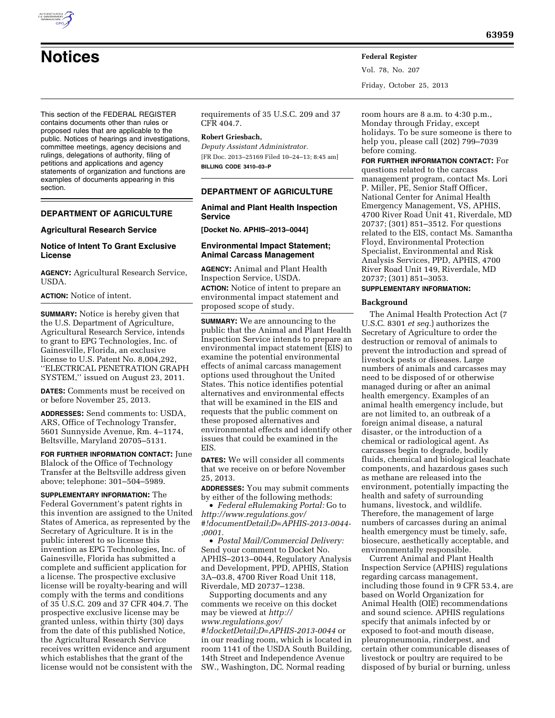# **Notices Federal Register**

Vol. 78, No. 207 Friday, October 25, 2013

This section of the FEDERAL REGISTER contains documents other than rules or proposed rules that are applicable to the public. Notices of hearings and investigations, committee meetings, agency decisions and rulings, delegations of authority, filing of petitions and applications and agency statements of organization and functions are examples of documents appearing in this section.

# **DEPARTMENT OF AGRICULTURE**

## **Agricultural Research Service**

# **Notice of Intent To Grant Exclusive License**

**AGENCY:** Agricultural Research Service, USDA.

**ACTION:** Notice of intent.

**SUMMARY:** Notice is hereby given that the U.S. Department of Agriculture, Agricultural Research Service, intends to grant to EPG Technologies, Inc. of Gainesville, Florida, an exclusive license to U.S. Patent No. 8,004,292, ''ELECTRICAL PENETRATION GRAPH SYSTEM,'' issued on August 23, 2011.

**DATES:** Comments must be received on or before November 25, 2013.

**ADDRESSES:** Send comments to: USDA, ARS, Office of Technology Transfer, 5601 Sunnyside Avenue, Rm. 4–1174, Beltsville, Maryland 20705–5131.

**FOR FURTHER INFORMATION CONTACT:** June Blalock of the Office of Technology Transfer at the Beltsville address given above; telephone: 301–504–5989.

**SUPPLEMENTARY INFORMATION:** The Federal Government's patent rights in this invention are assigned to the United States of America, as represented by the Secretary of Agriculture. It is in the public interest to so license this invention as EPG Technologies, Inc. of Gainesville, Florida has submitted a complete and sufficient application for a license. The prospective exclusive license will be royalty-bearing and will comply with the terms and conditions of 35 U.S.C. 209 and 37 CFR 404.7. The prospective exclusive license may be granted unless, within thirty (30) days from the date of this published Notice, the Agricultural Research Service receives written evidence and argument which establishes that the grant of the license would not be consistent with the

requirements of 35 U.S.C. 209 and 37 CFR 404.7.

#### **Robert Griesbach,**

*Deputy Assistant Administrator.*  [FR Doc. 2013–25169 Filed 10–24–13; 8:45 am] **BILLING CODE 3410–03–P** 

# **DEPARTMENT OF AGRICULTURE**

**Animal and Plant Health Inspection Service** 

**[Docket No. APHIS–2013–0044]** 

## **Environmental Impact Statement; Animal Carcass Management**

**AGENCY:** Animal and Plant Health Inspection Service, USDA. **ACTION:** Notice of intent to prepare an environmental impact statement and proposed scope of study.

**SUMMARY:** We are announcing to the public that the Animal and Plant Health Inspection Service intends to prepare an environmental impact statement (EIS) to examine the potential environmental effects of animal carcass management options used throughout the United States. This notice identifies potential alternatives and environmental effects that will be examined in the EIS and requests that the public comment on these proposed alternatives and environmental effects and identify other issues that could be examined in the EIS.

**DATES:** We will consider all comments that we receive on or before November 25, 2013.

**ADDRESSES:** You may submit comments by either of the following methods:

• *Federal eRulemaking Portal:* Go to *[http://www.regulations.gov/](http://www.regulations.gov/#!documentDetail;D=APHIS-2013-0044-;0001) [#!documentDetail;D=APHIS-2013-0044-](http://www.regulations.gov/#!documentDetail;D=APHIS-2013-0044-;0001)  [;0001.](http://www.regulations.gov/#!documentDetail;D=APHIS-2013-0044-;0001)* 

• *Postal Mail/Commercial Delivery:*  Send your comment to Docket No. APHIS–2013–0044, Regulatory Analysis and Development, PPD, APHIS, Station 3A–03.8, 4700 River Road Unit 118, Riverdale, MD 20737–1238.

Supporting documents and any comments we receive on this docket may be viewed at *[http://](http://www.regulations.gov/#!docketDetail;D=APHIS-2013-0044) [www.regulations.gov/](http://www.regulations.gov/#!docketDetail;D=APHIS-2013-0044) [#!docketDetail;D=APHIS-2013-0044](http://www.regulations.gov/#!docketDetail;D=APHIS-2013-0044)* or in our reading room, which is located in room 1141 of the USDA South Building, 14th Street and Independence Avenue SW., Washington, DC. Normal reading

room hours are 8 a.m. to 4:30 p.m., Monday through Friday, except holidays. To be sure someone is there to help you, please call (202) 799–7039 before coming.

**FOR FURTHER INFORMATION CONTACT:** For

questions related to the carcass management program, contact Ms. Lori P. Miller, PE, Senior Staff Officer, National Center for Animal Health Emergency Management, VS, APHIS, 4700 River Road Unit 41, Riverdale, MD 20737; (301) 851–3512. For questions related to the EIS, contact Ms. Samantha Floyd, Environmental Protection Specialist, Environmental and Risk Analysis Services, PPD, APHIS, 4700 River Road Unit 149, Riverdale, MD 20737; (301) 851–3053.

# **SUPPLEMENTARY INFORMATION:**

## **Background**

The Animal Health Protection Act (7 U.S.C. 8301 *et seq.*) authorizes the Secretary of Agriculture to order the destruction or removal of animals to prevent the introduction and spread of livestock pests or diseases. Large numbers of animals and carcasses may need to be disposed of or otherwise managed during or after an animal health emergency. Examples of an animal health emergency include, but are not limited to, an outbreak of a foreign animal disease, a natural disaster, or the introduction of a chemical or radiological agent. As carcasses begin to degrade, bodily fluids, chemical and biological leachate components, and hazardous gases such as methane are released into the environment, potentially impacting the health and safety of surrounding humans, livestock, and wildlife. Therefore, the management of large numbers of carcasses during an animal health emergency must be timely, safe, biosecure, aesthetically acceptable, and environmentally responsible.

Current Animal and Plant Health Inspection Service (APHIS) regulations regarding carcass management, including those found in 9 CFR 53.4, are based on World Organization for Animal Health (OIE) recommendations and sound science. APHIS regulations specify that animals infected by or exposed to foot-and mouth disease, pleuropneumonia, rinderpest, and certain other communicable diseases of livestock or poultry are required to be disposed of by burial or burning, unless